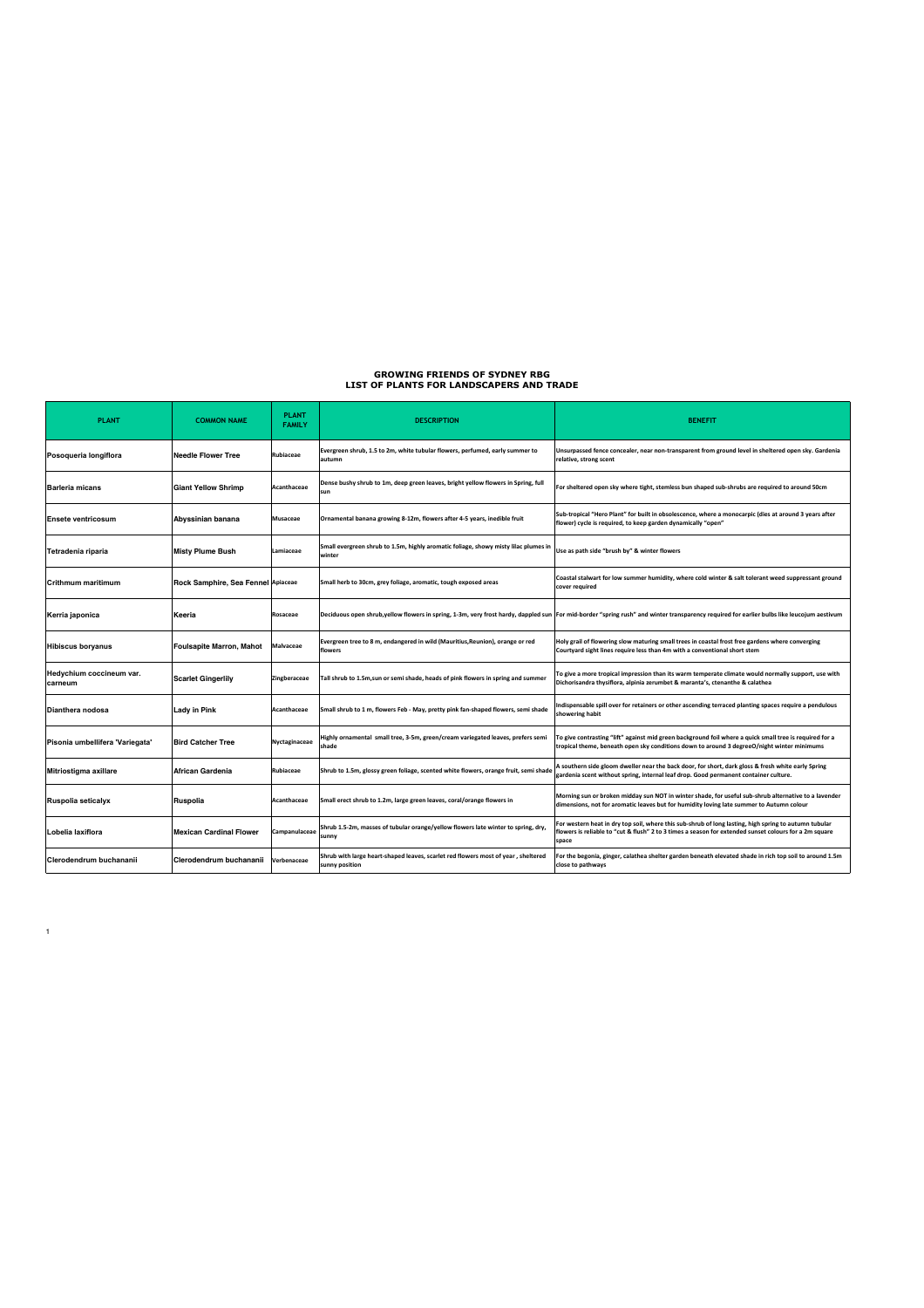## **GROWING FRIENDS OF SYDNEY RBG LIST OF PLANTS FOR LANDSCAPERS AND TRADE**

| <b>PLANT</b>                        | <b>COMMON NAME</b>                 | <b>PLANT</b><br><b>FAMILY</b> | <b>DESCRIPTION</b>                                                                                  | <b>BENEFIT</b>                                                                                                                                                                                                          |
|-------------------------------------|------------------------------------|-------------------------------|-----------------------------------------------------------------------------------------------------|-------------------------------------------------------------------------------------------------------------------------------------------------------------------------------------------------------------------------|
| Posoqueria longiflora               | <b>Needle Flower Tree</b>          | Rubiaceae                     | Evergreen shrub, 1.5 to 2m, white tubular flowers, perfumed, early summer to<br>autumn              | Unsurpassed fence concealer, near non-transparent from ground level in sheltered open sky. Gardenia<br>relative, strong scent                                                                                           |
| <b>Barleria micans</b>              | <b>Giant Yellow Shrimp</b>         | Acanthaceae                   | Dense bushy shrub to 1m, deep green leaves, bright yellow flowers in Spring, full<br>sun            | For sheltered open sky where tight, stemless bun shaped sub-shrubs are required to around 50cm                                                                                                                          |
| <b>Ensete ventricosum</b>           | Abyssinian banana                  | Musaceae                      | Ornamental banana growing 8-12m, flowers after 4-5 years, inedible fruit                            | Sub-tropical "Hero Plant" for built in obsolescence, where a monocarpic (dies at around 3 years after<br>flower) cycle is required, to keep garden dynamically "open"                                                   |
| Tetradenia riparia                  | <b>Misty Plume Bush</b>            | Lamiaceae                     | Small evergreen shrub to 1.5m, highly aromatic foliage, showy misty lilac plumes in<br>winter       | Use as path side "brush by" & winter flowers                                                                                                                                                                            |
| Crithmum maritimum                  | Rock Samphire, Sea Fennel Apiaceae |                               | Small herb to 30cm, grey foliage, aromatic, tough exposed areas                                     | Coastal stalwart for low summer humidity, where cold winter & salt tolerant weed suppressant ground<br>cover required                                                                                                   |
| Kerria japonica                     | Keeria                             | Rosaceae                      |                                                                                                     | Deciduous open shrub,yellow flowers in spring, 1-3m, very frost hardy, dappled sun  For mid-border "spring rush" and winter transparency required for earlier bulbs like leucojum aestivum                              |
| <b>Hibiscus boryanus</b>            | <b>Foulsapite Marron, Mahot</b>    | <b>Malvaceae</b>              | Evergreen tree to 8 m, endangered in wild (Mauritius, Reunion), orange or red<br>flowers            | Holy grail of flowering slow maturing small trees in coastal frost free gardens where converging<br>Courtyard sight lines require less than 4m with a conventional short stem                                           |
| Hedychium coccineum var.<br>carneum | <b>Scarlet Gingerlily</b>          | Zingberaceae                  | Tall shrub to 1.5m, sun or semi shade, heads of pink flowers in spring and summer                   | To give a more tropical impression than its warm temperate climate would normally support, use with<br>Dichorisandra thysiflora, alpinia zerumbet & maranta's, ctenanthe & calathea                                     |
| <b>Dianthera nodosa</b>             | Lady in Pink                       | Acanthaceae                   | Small shrub to 1 m, flowers Feb - May, pretty pink fan-shaped flowers, semi shade                   | ndispensable spill over for retainers or other ascending terraced planting spaces require a pendulous<br>showering habit                                                                                                |
| Pisonia umbellifera 'Variegata'     | <b>Bird Catcher Tree</b>           | Nyctaginaceae                 | Highly ornamental small tree, 3-5m, green/cream variegated leaves, prefers semi<br>shade            | To give contrasting "lift" against mid green background foil where a quick small tree is required for a<br>tropical theme, beneath open sky conditions down to around 3 degreeO/night winter minimums                   |
| Mitriostigma axillare               | <b>African Gardenia</b>            | Rubiaceae                     | Shrub to 1.5m, glossy green foliage, scented white flowers, orange fruit, semi shade                | A southern side gloom dweller near the back door, for short, dark gloss & fresh white early Spring<br>gardenia scent without spring, internal leaf drop. Good permanent container culture.                              |
| Ruspolia seticalyx                  | Ruspolia                           | Acanthaceae                   | Small erect shrub to 1.2m, large green leaves, coral/orange flowers in                              | Morning sun or broken midday sun NOT in winter shade, for useful sub-shrub alternative to a lavender<br>dimensions, not for aromatic leaves but for humidity loving late summer to Autumn colour                        |
| Lobelia laxiflora                   | <b>Mexican Cardinal Flower</b>     | Campanulaceae                 | Shrub 1.5-2m, masses of tubular orange/yellow flowers late winter to spring, dry,<br>sunny          | For western heat in dry top soil, where this sub-shrub of long lasting, high spring to autumn tubular<br>lowers is reliable to "cut & flush" 2 to 3 times a season for extended sunset colours for a 2m square<br>space |
| Clerodendrum buchananii             | Clerodendrum buchananii            | Verbenaceae                   | Shrub with large heart-shaped leaves, scarlet red flowers most of year, sheltered<br>sunny position | or the begonia, ginger, calathea shelter garden beneath elevated shade in rich top soil to around 1.5m<br>close to pathways                                                                                             |

1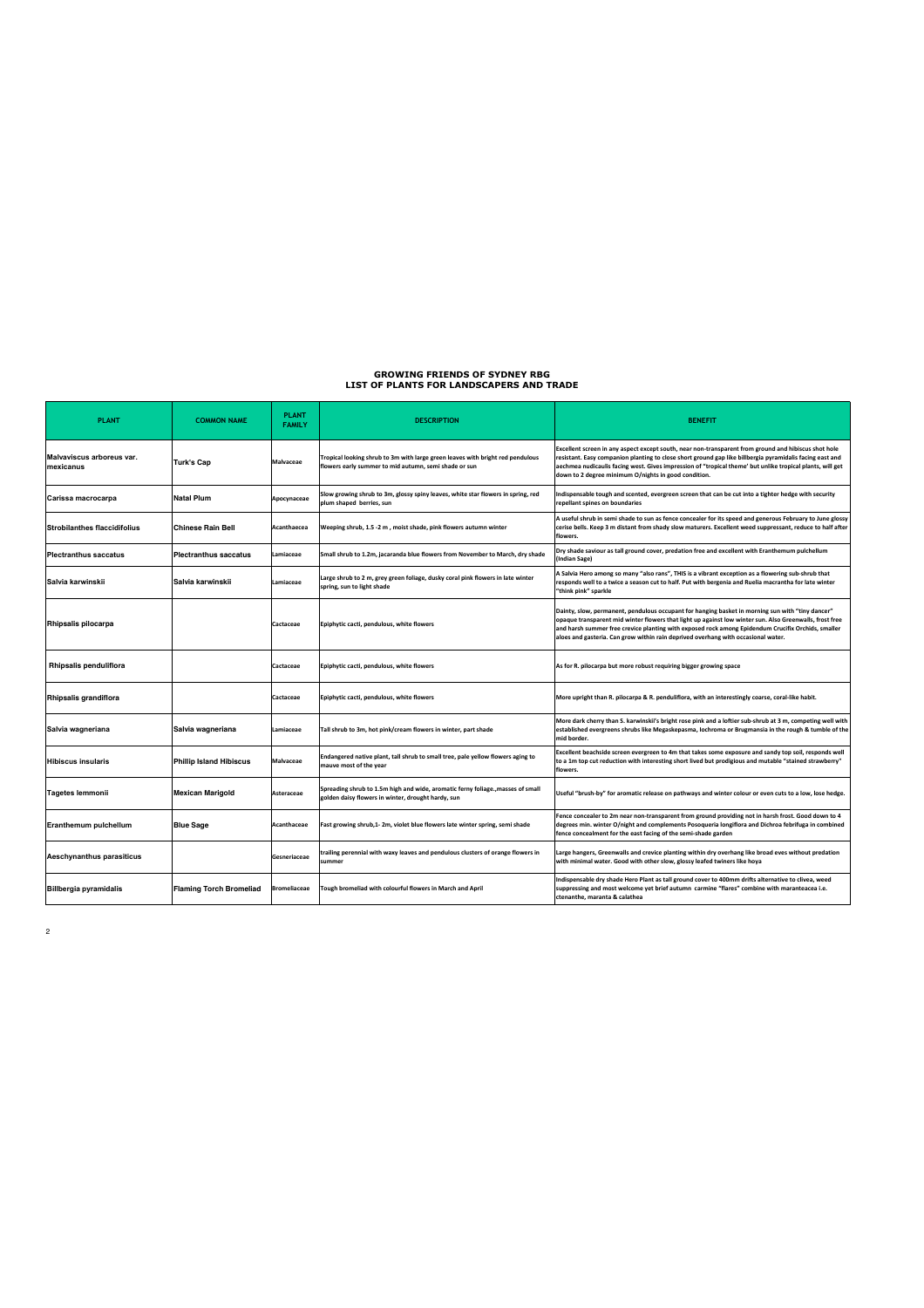## **GROWING FRIENDS OF SYDNEY RBG LIST OF PLANTS FOR LANDSCAPERS AND TRADE**

| <b>PLANT</b>                           | <b>COMMON NAME</b>             | <b>PLANT</b><br><b>FAMILY</b> | <b>DESCRIPTION</b>                                                                                                                      | <b>BENEFIT</b>                                                                                                                                                                                                                                                                                                                                                                                         |
|----------------------------------------|--------------------------------|-------------------------------|-----------------------------------------------------------------------------------------------------------------------------------------|--------------------------------------------------------------------------------------------------------------------------------------------------------------------------------------------------------------------------------------------------------------------------------------------------------------------------------------------------------------------------------------------------------|
| Malvaviscus arboreus var.<br>mexicanus | Turk's Cap                     | Malvaceae                     | Tropical looking shrub to 3m with large green leaves with bright red pendulous<br>flowers early summer to mid autumn, semi shade or sun | Excellent screen in any aspect except south, near non-transparent from ground and hibiscus shot hole<br>resistant. Easy companion planting to close short ground gap like billbergia pyramidalis facing east and<br>aechmea nudicaulis facing west. Gives impression of "tropical theme' but unlike tropical plants, will get<br>down to 2 degree minimum O/nights in good condition.                  |
| Carissa macrocarpa                     | <b>Natal Plum</b>              | Apocynaceae                   | Slow growing shrub to 3m, glossy spiny leaves, white star flowers in spring, red<br>plum shaped berries, sun                            | ndispensable tough and scented, evergreen screen that can be cut into a tighter hedge with security<br>repellant spines on boundaries                                                                                                                                                                                                                                                                  |
| <b>Strobilanthes flaccidifolius</b>    | <b>Chinese Rain Bell</b>       | Acanthaecea                   | Weeping shrub, 1.5 -2 m, moist shade, pink flowers autumn winter                                                                        | A useful shrub in semi shade to sun as fence concealer for its speed and generous February to June glossy<br>cerise bells. Keep 3 m distant from shady slow maturers. Excellent weed suppressant, reduce to half after<br>flowers.                                                                                                                                                                     |
| <b>Plectranthus saccatus</b>           | <b>Plectranthus saccatus</b>   | Lamiaceae                     | Small shrub to 1.2m, jacaranda blue flowers from November to March, dry shade                                                           | Dry shade saviour as tall ground cover, predation free and excellent with Eranthemum pulchellum<br>Indian Sage)                                                                                                                                                                                                                                                                                        |
| Salvia karwinskii                      | Salvia karwinskii              | Lamiaceae                     | Large shrub to 2 m, grey green foliage, dusky coral pink flowers in late winter<br>spring, sun to light shade                           | A Salvia Hero among so many "also rans", THIS is a vibrant exception as a flowering sub-shrub that<br>esponds well to a twice a season cut to half. Put with bergenia and Ruelia macrantha for late winter<br>"think pink" sparkle                                                                                                                                                                     |
| Rhipsalis pilocarpa                    |                                | Cactaceae                     | Epiphytic cacti, pendulous, white flowers                                                                                               | Dainty, slow, permanent, pendulous occupant for hanging basket in morning sun with "tiny dancer"<br>opaque transparent mid winter flowers that light up against low winter sun. Also Greenwalls, frost free<br>and harsh summer free crevice planting with exposed rock among Epidendum Crucifix Orchids, smaller<br>aloes and gasteria. Can grow within rain deprived overhang with occasional water. |
| Rhipsalis penduliflora                 |                                | Cactaceae                     | Epiphytic cacti, pendulous, white flowers                                                                                               | As for R. pilocarpa but more robust requiring bigger growing space                                                                                                                                                                                                                                                                                                                                     |
| Rhipsalis grandiflora                  |                                | Cactaceae                     | Epiphytic cacti, pendulous, white flowers                                                                                               | More upright than R. pilocarpa & R. penduliflora, with an interestingly coarse, coral-like habit.                                                                                                                                                                                                                                                                                                      |
| Salvia wagneriana                      | Salvia wagneriana              | Lamiaceae                     | Tall shrub to 3m, hot pink/cream flowers in winter, part shade                                                                          | More dark cherry than S. karwinskii's bright rose pink and a loftier sub-shrub at 3 m, competing well with<br>established evergreens shrubs like Megaskepasma, Iochroma or Brugmansia in the rough & tumble of the<br>mid border.                                                                                                                                                                      |
| <b>Hibiscus insularis</b>              | <b>Phillip Island Hibiscus</b> | <b>Malvaceae</b>              | Endangered native plant, tall shrub to small tree, pale yellow flowers aging to<br>mauve most of the year                               | Excellent beachside screen evergreen to 4m that takes some exposure and sandy top soil, responds well<br>"to a 1m top cut reduction with interesting short lived but prodigious and mutable "stained strawberry<br>flowers.                                                                                                                                                                            |
| <b>Tagetes lemmonii</b>                | <b>Mexican Marigold</b>        | Asteraceae                    | Spreading shrub to 1.5m high and wide, aromatic ferny foliage., masses of small<br>golden daisy flowers in winter, drought hardy, sun   | Useful "brush-by" for aromatic release on pathways and winter colour or even cuts to a low, lose hedge.                                                                                                                                                                                                                                                                                                |
| <b>Eranthemum pulchellum</b>           | <b>Blue Sage</b>               | Acanthaceae                   | Fast growing shrub,1-2m, violet blue flowers late winter spring, semi shade                                                             | Fence concealer to 2m near non-transparent from ground providing not in harsh frost. Good down to 4<br>degrees min. winter O/night and complements Posoqueria longiflora and Dichroa febrifuga in combined<br>fence concealment for the east facing of the semi-shade garden                                                                                                                           |
| <b>Aeschynanthus parasiticus</b>       |                                | Gesneriaceae                  | trailing perennial with waxy leaves and pendulous clusters of orange flowers in<br>summer                                               | Large hangers, Greenwalls and crevice planting within dry overhang like broad eves without predation<br>with minimal water. Good with other slow, glossy leafed twiners like hoya                                                                                                                                                                                                                      |
| <b>Billbergia pyramidalis</b>          | <b>Flaming Torch Bromeliad</b> | <b>Bromeliaceae</b>           | Tough bromeliad with colourful flowers in March and April                                                                               | ndispensable dry shade Hero Plant as tall ground cover to 400mm drifts alternative to clivea, weed<br>suppressing and most welcome yet brief autumn carmine "flares" combine with maranteacea i.e.<br>ctenanthe, maranta & calathea                                                                                                                                                                    |

2